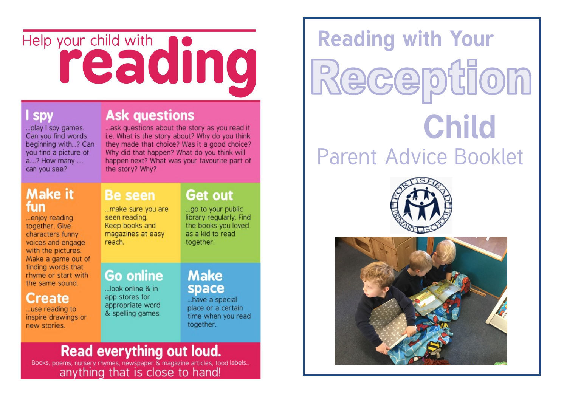# Help your child with dinc

# **SDV**

... play I spy games. Can you find words beginning with...? Can vou find a picture of a....? How many .... can you see?

## **Make it** fun

...enjoy reading together. Give characters funny voices and engage with the pictures. Make a game out of finding words that rhyme or start with the same sound.

## **Create**

... use reading to inspire drawings or new stories.

# **Ask questions**

... ask questions about the story as you read it i.e. What is the story about? Why do you think they made that choice? Was it a good choice? Why did that happen? What do you think will happen next? What was your favourite part of the story? Why?

# **Be seen**

...make sure you are seen reading. Keep books and magazines at easy reach.

# **Get out**

...go to your public library regularly. Find the books you loved as a kid to read together.

## **Go online**

...look online & in app stores for appropriate word & spelling games.

## **Make** space

...have a special place or a certain time when you read together.

**Read everything out loud.**<br>Books, poems, nursery rhymes, newspaper & magazine articles, food labels...<br>anything that is close to hand!

**Reading with Your** Reception **Child Parent Advice Booklet**